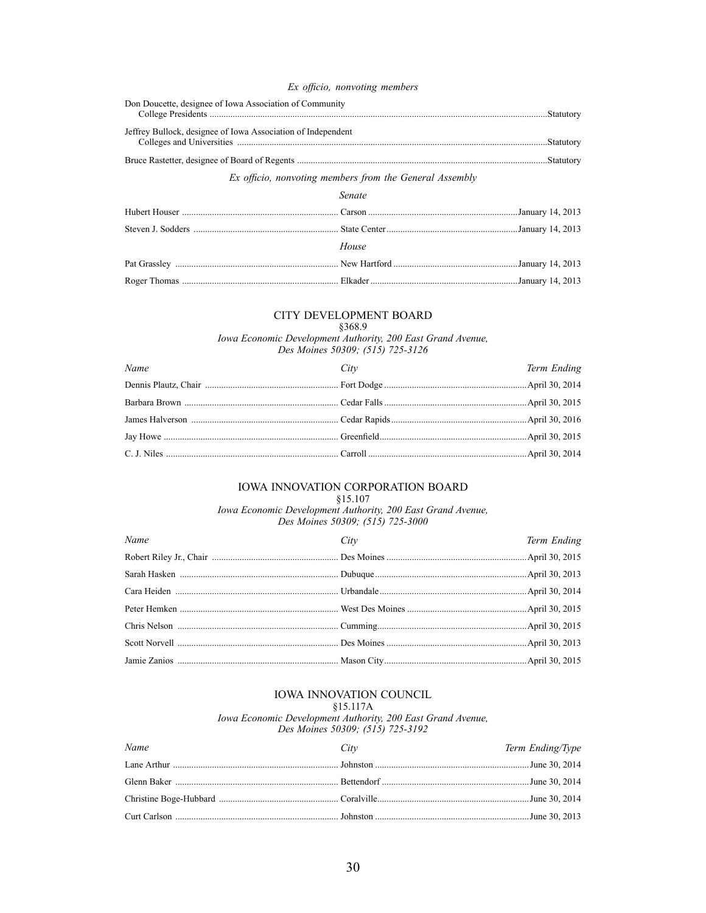#### Ex officio, nonvoting members

| Don Doucette, designee of Iowa Association of Community      |  |
|--------------------------------------------------------------|--|
| Jeffrey Bullock, designee of Iowa Association of Independent |  |
|                                                              |  |

#### Ex officio, nonvoting members from the General Assembly

| Senate |  |
|--------|--|
|        |  |
|        |  |
| House  |  |
|        |  |
|        |  |

#### CITY DEVELOPMENT BOARD

# §368.9

Iowa Economic Development Authority, 200 East Grand Avenue,<br>Des Moines 50309; (515) 725-3126

| Name | City | Term Ending |
|------|------|-------------|
|      |      |             |
|      |      |             |
|      |      |             |
|      |      |             |
|      |      |             |

#### IOWA INNOVATION CORPORATION BOARD  $§15.107$

Iowa Economic Development Authority, 200 East Grand Avenue,<br>Des Moines 50309; (515) 725-3000

| Name | City | Term Ending |
|------|------|-------------|
|      |      |             |
|      |      |             |
|      |      |             |
|      |      |             |
|      |      |             |
|      |      |             |
|      |      |             |

# IOWA INNOVATION COUNCIL

 $§15.117A$ 

Iowa Economic Development Authority, 200 East Grand Avenue, Des Moines 50309; (515) 725-3192

| Name | City | Term Ending/Type |
|------|------|------------------|
|      |      |                  |
|      |      |                  |
|      |      |                  |
|      |      |                  |